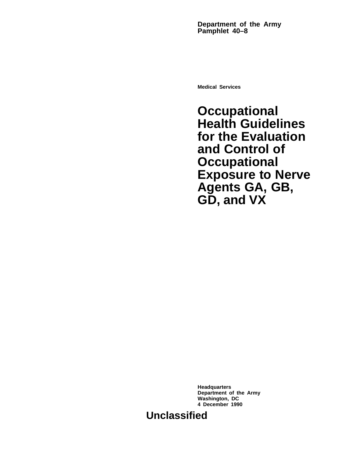**Department of the Army Pamphlet 40–8**

**Medical Services**

**Occupational Health Guidelines for the Evaluation and Control of Occupational Exposure to Nerve Agents GA, GB, GD, and VX**

**Headquarters Department of the Army Washington, DC 4 December 1990**

**Unclassified**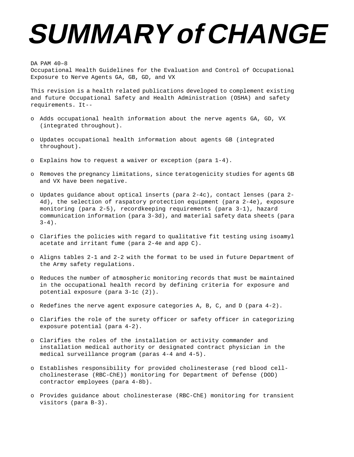# **SUMMARY of CHANGE**

## DA PAM 40–8

Occupational Health Guidelines for the Evaluation and Control of Occupational Exposure to Nerve Agents GA, GB, GD, and VX

This revision is a health related publications developed to complement existing and future Occupational Safety and Health Administration (OSHA) and safety requirements. It--

- o Adds occupational health information about the nerve agents GA, GD, VX (integrated throughout).
- o Updates occupational health information about agents GB (integrated throughout).
- o Explains how to request a waiver or exception (para 1-4).
- o Removes the pregnancy limitations, since teratogenicity studies for agents GB and VX have been negative.
- o Updates guidance about optical inserts (para 2-4c), contact lenses (para 2- 4d), the selection of raspatory protection equipment (para 2-4e), exposure monitoring (para 2-5), recordkeeping requirements (para 3-1), hazard communication information (para 3-3d), and material safety data sheets (para  $3-4)$ .
- o Clarifies the policies with regard to qualitative fit testing using isoamyl acetate and irritant fume (para 2-4e and app C).
- o Aligns tables 2-1 and 2-2 with the format to be used in future Department of the Army safety regulations.
- o Reduces the number of atmospheric monitoring records that must be maintained in the occupational health record by defining criteria for exposure and potential exposure (para 3-1c (2)).
- o Redefines the nerve agent exposure categories A, B, C, and D (para 4-2).
- o Clarifies the role of the surety officer or safety officer in categorizing exposure potential (para 4-2).
- o Clarifies the roles of the installation or activity commander and installation medical authority or designated contract physician in the medical surveillance program (paras 4-4 and 4-5).
- o Establishes responsibility for provided cholinesterase (red blood cellcholinesterase (RBC-ChE)) monitoring for Department of Defense (DOD) contractor employees (para 4-8b).
- o Provides guidance about cholinesterase (RBC-ChE) monitoring for transient visitors (para B-3).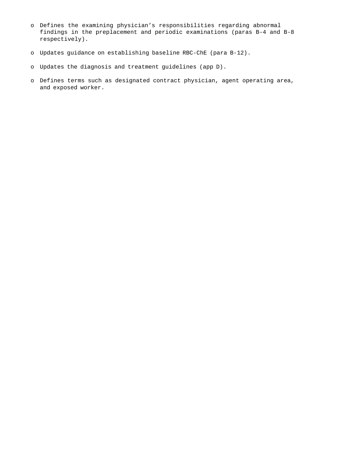- o Defines the examining physician's responsibilities regarding abnormal findings in the preplacement and periodic examinations (paras B-4 and B-8 respectively).
- o Updates guidance on establishing baseline RBC-ChE (para B-12).
- o Updates the diagnosis and treatment guidelines (app D).
- o Defines terms such as designated contract physician, agent operating area, and exposed worker.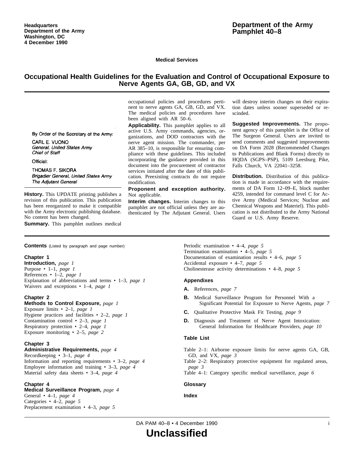**Medical Services**

# **Occupational Health Guidelines for the Evaluation and Control of Occupational Exposure to Nerve Agents GA, GB, GD, and VX**

occupational policies and procedures pertinent to nerve agents GA, GB, GD, and VX. The medical policies and procedures have been aligned with AR 50–6.

**Applicability.** This pamphlet applies to all active U.S. Army commands, agencies, organizations, and DOD contractors with the nerve agent mission. The commander, per AR 385–10, is responsible for ensuring compliance with these guidelines. This included incorporating the guidance provided in this document into the procurement of contractor services initiated after the date of this publication. Preexisting contracts do not require modification.

#### **Proponent and exception authority.** Not applicable.

**Interim changes.** Interim changes to this pamphlet are not official unless they are authenticated by The Adjutant General. Users will destroy interim changes on their expiration dates unless sooner superseded or rescinded.

**Suggested Improvements.** The proponent agency of this pamphlet is the Office of The Surgeon General. Users are invited to send comments and suggested improvements on DA Form 2028 (Recommended Changes to Publications and Blank Forms) directly to HQDA (SGPS-PSP), 5109 Leesburg Pike, Falls Church, VA 22041–3258.

**Distribution.** Distribution of this publication is made in accordance with the requirements of DA Form 12–09–E, block number 4259, intended for command level C for Active Army (Medical Services; Nuclear and Chemical Weapons and Materiel). This publication is not distributed to the Army National Guard or U.S. Army Reserve.

THOMAS F. SIKORA

By Order of the Secretary of the Army:

General, United States Army

CARL E. VUONO

Chief of Staff Official:

Brigadier General, United States Army The Adjutant General

**History.** This UPDATE printing publishes a revision of this publication. This publication has been reorganized to make it compatible with the Army electronic publishing database. No content has been changed.

**Summary.** This pamphlet outlines medical

**Contents** (Listed by paragraph and page number)

Waivers and exceptions • 1–4, *page 1*

Contamination control • 2–3, *page 1* Respiratory protection • 2–4, *page 1* Exposure monitoring • 2–5, *page 2*

Exposure limits • 2–1, *page 1*

**Methods to Control Exposure,** *page 1*

Hygiene practices and facilities • 2–2, *page 1*

Explanation of abbreviations and terms • 1–3, *page 1*

Periodic examination • 4–4, *page 5* Termination examination • 4–5, *page 5* Documentation of examination results • 4–6, *page 5* Accidental exposure • 4–7, *page 5* Cholinesterase activity determinations • 4–8, *page 5*

# **Appendixes**

**A.** References, *page 7*

- **B.** Medical Surveillance Program for Personnel With a Significant Potential for Exposure to Nerve Agents, *page 7*
- **C.** Qualitative Protective Mask Fit Testing, *page 9*
- **D.** Diagnosis and Treatment of Nerve Agent Intoxication: General Information for Healthcare Providers, *page 10*

## **Table List**

Table 2–1: Airborne exposure limits for nerve agents GA, GB, GD, and VX, *page 3*

Table 2–2: Respiratory protective equipment for regulated areas, *page 3*

Table 4–1: Category specific medical surveillance, *page 6*

## **Glossary**

## **Index**

DA PAM 40–8 • 4 December 1990 in the state of the state of the state of the state of the state of the state of the state of the state of the state of the state of the state of the state of the state of the state of the sta

**Unclassified**

#### **Chapter 3 Administrative Requirements,** *page 4* Recordkeeping • 3–1, *page 4*

Information and reporting requirements • 3–2, *page 4* Employee information and training • 3–3, *page 4* Material safety data sheets • 3–4, *page 4*

# **Chapter 4**

**Chapter 1**

**Chapter 2**

**Introduction,** *page 1* Purpose • 1–1, *page 1* References • 1–2, *page 1*

## **Medical Surveillance Program,** *page 4*

General • 4–1, *page 4* Categories • 4–2, *page 5* Preplacement examination • 4–3, *page 5*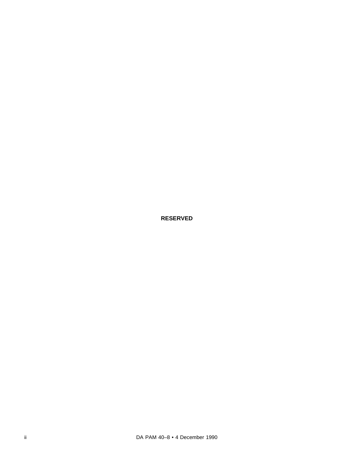**RESERVED**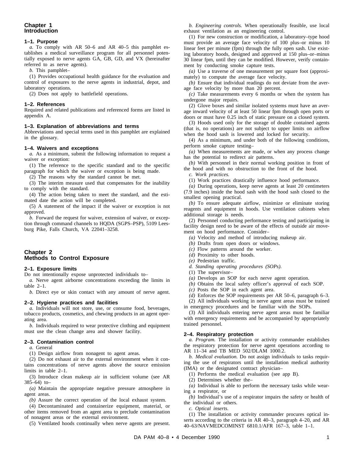# **Chapter 1 Introduction**

#### **1–1. Purpose**

*a.* To comply with AR 50–6 and AR 40–5 this pamphlet establishes a medical surveillance program for all personnel potentially exposed to nerve agents GA, GB, GD, and VX (hereinafter referred to as nerve agents).

*b.* This pamphlet–

(1) Provides occupational health guidance for the evaluation and control of exposures to the nerve agents in industrial, depot, and laboratory operations.

(2) Does not apply to battlefield operations.

#### **1–2. References**

Required and related publications and referenced forms are listed in appendix A.

## **1–3. Explanation of abbreviations and terms**

Abbreviations and special terms used in this pamphlet are explained in the glossary.

#### **1–4. Waivers and exceptions**

*a.* As a minimum, submit the following information to request a waiver or exception:

(1) The reference to the specific standard and to the specific paragraph for which the waiver or exception is being made.

(2) The reasons why the standard cannot be met.

(3) The interim measure used that compensates for the inability to comply with the standard.

(4) The action being taken to meet the standard, and the estimated date the action will be completed.

(5) A statement of the impact if the waiver or exception is not approved.

*b.* Forward the request for waiver, extension of waiver, or exception through command channels to HQDA (SGPS–PSP), 5109 Leesburg Pike, Falls Church, VA 22041–3258.

# **Chapter 2 Methods to Control Exposure**

## **2–1. Exposure limits**

Do not intentionally expose unprotected individuals to–

*a.* Nerve agent airborne concentrations exceeding the limits in table 2–1.

*b.* Direct eye or skin contact with any amount of nerve agent.

#### **2–2. Hygiene practices and facilities**

*a.* Individuals will not store, use, or consume food, beverages, tobacco products, cosmetics, and chewing products in an agent operating area.

*b.* Individuals required to wear protective clothing and equipment must use the clean change area and shower facility.

#### **2–3. Contamination control**

*a.* General

(1) Design airflow from nonagent to agent areas.

(2) Do not exhaust air to the external environment when it contains concentrations of nerve agents above the source emission limits in table 2–1.

(3) Introduce clean makeup air in sufficient volume (see AR 385–64) to–

 $(a)$  Maintain the appropriate negative pressure atmosphere in agent areas.

*(b)* Assure the correct operation of the local exhaust system.

(4) Decontaminated and containerize equipment, material, or other items removed from an agent area to preclude contamination of nonagent areas or the external environment.

(5) Ventilated hoods continually when nerve agents are present.

*b. Engineering controls.* When operationally feasible, use local exhaust ventilation as an engineering control.

(1) For new construction or modification, a laboratory–type hood must provide an average face velocity of 100 plus–or minus 10 linear feet per minute (fpm) through the fully open sash. Use existing laboratory hoods, designed and approved at 150 plus–or–minus 30 linear fpm, until they can be modified. However, verify containment by conducting smoke capture tests.

*(a)* Use a traverse of one measurement per square foot (approximately) to compute the average face velocity.

*(b)* Ensure that individual readings do not deviate from the average face velocity by more than 20 percent.

*(c)* Take measurements every 6 months or when the system has undergone major repairs.

(2) Glove boxes and similar isolated systems must have an average inward velocity of at least 50 linear fpm through open ports or doors or must have 0.25 inch of static pressure on a closed system.

(3) Hoods used only for the storage of double contained agents (that is, no operations) are not subject to upper limits on airflow when the hood sash is lowered and locked for security.

(4) As a minimum, and under both of the following conditions, perform smoke capture testing–

*(a)* When measurements are made, or when any process change has the potential to redirect air patterns.

*(b)* With personnel in their normal working position in front of the hood and with no obstruction to the front of the hood.

*c. Work practices.*

(1) Work practices drastically influence hood performance.

*(a)* During operations, keep nerve agents at least 20 centimeters (7.9 inches) inside the hood sash with the hood sash closed to the smallest opening practical.

*(b)* To ensure adequate airflow, minimize or eliminate storing reagents and equipment in hoods. Use ventilation cabinets when additional storage is needs.

(2) Personnel conducting performance testing and participating in facility design need to be aware of the effects of outside air movement on hood performance. Consider–

- *(a)* Velocity and method of introducing makeup air.
- *(b)* Drafts from open doors or windows.
- *(c)* Flow patterns around the worker.
- *(d)* Proximity to other hoods.
- *(e)* Pedestrian traffic.
- *d. Standing operating procedures (SOPs).*
- (1) The supervisor–
- *(a)* Develops an SOP for each nerve agent operation.
- *(b)* Obtains the local safety officer's approval of each SOP.

*(c)* Posts the SOP in each agent area.

*(d)* Enforces the SOP requirements per AR 50–6, paragraph 6–3.

(2) All individuals working in nerve agent areas must be trained in emergency procedures and be familiar with the SOPs.

(3) All individuals entering nerve agent areas must be familiar with emergency requirements and be accompanied by appropriately trained personnel.

## **2–4. Respiratory protection**

*a. Program.* The installation or activity commander establishes the respiratory protection for nerve agent operations according to AR 11–34 and TB MED 502/DLAM 1000.2.

*b. Medical evaluation.* Do not assign individuals to tasks requiring the use of respirators until the installation medical authority (IMA) or the designated contract physician–

(1) Performs the medical evaluation (see app B).

(2) Determines whether the–

*(a)* Individual is able to perform the necessary tasks while wearing a respirator, or

*(b)* Individual's use of a respirator impairs the safety or health of the individual or others.

*c. Optical inserts.*

(1) The installation or activity commander procures optical inserts according to the criteria in AR 40–3, paragraph 4–20, and AR 40–63/NAVMEDCOMINST 6810.1/AFR 167–3, table 1–1.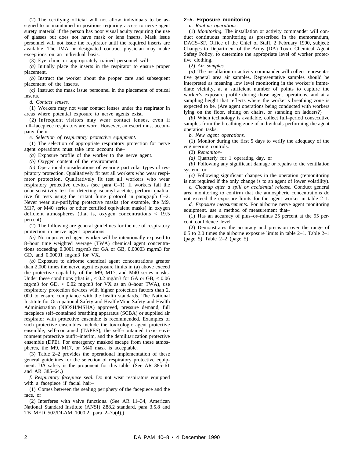(2) The certifying official will not allow individuals to be assigned to or maintained in positions requiring access to nerve agent surety material if the person has poor visual acuity requiring the use of glasses but does not have mask or lens inserts. Mask issue personnel will not issue the respirator until the required inserts are available. The IMA or designated contract physician may make exceptions on an individual basis.

(3) Eye clinic or appropriately trained personnel will–

*(a)* Initially place the inserts in the respirator to ensure proper placement.

*(b)* Instruct the worker about the proper care and subsequent placement of the inserts.

*(c)* Instruct the mask issue personnel in the placement of optical inserts.

*d. Contact lenses.*

(1) Workers may not wear contact lenses under the respirator in areas where potential exposure to nerve agents exist.

(2) Infrequent visitors may wear contact lenses, even if full–facepiece respirators are worn. However, an escort must accompany them.

*e. Selection of respiratory protective equipment.*

(1) The selection of appropriate respiratory protection for nerve agent operations must take into account the–

*(a)* Exposure profile of the worker to the nerve agent.

*(b)* Oxygen content of the environment.

*(c)* Operational considerations of wearing particular types of respiratory protection. Qualitatively fit test all workers who wear respirator protection. Qualitatively fit test all workers who wear respiratory protective devices (see para C–1). If workers fail the odor sensitivity test for detecting isoamyl acetate, perform qualitative fit tests using the irritant fume protocol in paragraph C–2. Never wear air–purifying protective masks (for example, the M9, M17, or M40 series or other certified equivalent masks) in oxygen deficient atmospheres (that is, oxygen concentrations  $<$  19.5 percent).

(2) The following are general guidelines for the use of respiratory protection in nerve agent operations.

*(a)* No unprotected agent worker will be intentionally exposed to 8–hour time weighted average (TWA) chemical agent concentrations exceeding 0.0001 mg/m3 for GA or GB, 0.00003 mg/m3 for GD, and 0.00001 mg/m3 for VX.

*(b)* Exposure to airborne chemical agent concentrations greater than 2,000 times the nerve agent exposure limits in (a) above exceed the protective capability of the M9, M17, and M40 series masks. Under these conditions (that is  $\zeta$  < 0.2 mg/m3 for GA or GB,  $\zeta$  0.06 mg/m3 for GD,  $\lt$  0.02 mg/m3 for VX as an 8-hour TWA), use respiratory protection devices with higher protection factors than 2, 000 to ensure compliance with the health standards. The National Institute for Occupational Safety and Health/Mine Safety and Health Administration (NIOSH/MSHA) approved, pressure demand, full facepiece self–contained breathing apparatus (SCBA) or supplied air respirator with protective ensemble is recommended. Examples of such protective ensembles include the toxicologic agent protective ensemble, self–contained (TAPES), the self–contained toxic environment protective outfit–interim, and the demilitarization protective ensemble (DPE). For emergency masked escape from these atmospheres, the M9, M17, or M40 mask is acceptable.

(3) Table 2–2 provides the operational implementation of these general guidelines for the selection of respiratory protective equipment. DA safety is the proponent for this table. (See AR 385–61 and AR 385–64.)

*f. Respiratory facepiece seal.* Do not wear respirators equipped with a facepiece if facial hair–

(1) Comes between the sealing periphery of the facepiece and the face, or

(2) Interferes with valve functions. (See AR 11–34, American National Standard Institute (ANSI) Z88.2 standard, para 3.5.8 and TB MED 502/DLAM 1000.2, para 2–7b(4).)

#### **2–5. Exposure monitoring**

*a. Routine operations.*

(1) *Monitoring.* The installation or activity commander will conduct continuous monitoring as prescribed in the memorandum, DACS–SF, Office of the Chief of Staff, 2 February 1990, subject: Changes to Department of the Army (DA) Toxic Chemical Agent Safety Policy, to determine the appropriate level of worker protective clothing.

(2) *Air samples.*

*(a)* The installation or activity commander will collect representative general area air samples. Representative samples should be interpreted as meaning low level monitoring in the worker's immediate vicinity, at a sufficient number of points to capture the worker's exposure profile during those agent operations, and at a sampling height that reflects where the worker's breathing zone is expected to be. (Are agent operations being conducted with workers lying on the floor, sitting on chairs, or standing on ladders?)

*(b)* When technology is available, collect full–period consecutive samples from the breathing zone of individuals performing the agent operation tasks.

*b. New agent operations.*

(1) Monitor during the first 5 days to verify the adequacy of the engineering controls.

(2) *Remonitor–*

*(a)* Quarterly for 1 operating day, or

*(b)* Following any significant damage or repairs to the ventilation system, or

*(c)* Following significant changes in the operation (remonitoring is not required if the only change is to an agent of lower volatility).

*c. Cleanup after a spill or accidental release.* Conduct general area monitoring to confirm that the atmospheric concentrations do not exceed the exposure limits for the agent worker in table 2–1.

*d. Exposure measurements.* For airborne nerve agent monitoring equipment, use a method of measurement that–

(1) Has an accuracy of plus–or–minus 25 percent at the 95 percent confidence level.

(2) Demonstrates the accuracy and precision over the range of 0.5 to 2.0 times the airborne exposure limits in table 2–1. Table 2–1 (page 5) Table 2–2 (page 5)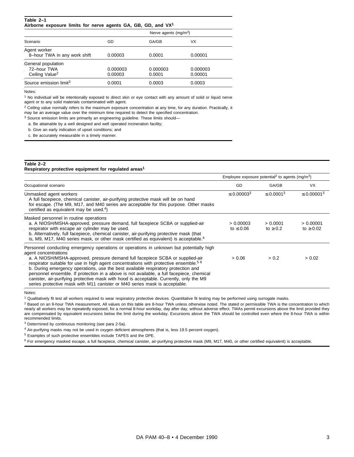#### **Table 2–1 Airborne exposure limits for nerve agents GA, GB, GD, and VX1**

|                                                                 |                     | Nerve agents $(mg/m3)$ |                     |
|-----------------------------------------------------------------|---------------------|------------------------|---------------------|
| Scenario                                                        | GD                  | GA/GB                  | VX                  |
| Agent worker<br>8-hour TWA in any work shift                    | 0.00003             | 0.0001                 | 0.00001             |
| General population<br>72–hour TWA<br>Ceiling Value <sup>2</sup> | 0.000003<br>0.00003 | 0.000003<br>0.0001     | 0.000003<br>0.00001 |
| Source emission limit <sup>3</sup>                              | 0.0001              | 0.0003                 | 0.0003              |

Notes:

<sup>1</sup> No individual will be intentionally exposed to direct skin or eye contact with any amount of solid or liquid nerve agent or to any solid materials contaminated with agent.

<sup>2</sup> Ceiling value normally refers to the maximum exposure concentration at any time, for any duration. Practically, it may be an average value over the minimum time required to detect the specified concentration.

<sup>3</sup> Source emission limits are primarily an engineering guideline. These limits should—

a. Be attainable by a well designed and well operated incineration facility;

b. Give an early indication of upset conditions; and

c. Be accurately measurable in a timely manner.

## **Table 2–2 Respiratory protective equipment for regulated areas1**

|                                                                                                                                                                                                                                                                                                                                                                                                                                                                                                                                                                                                                                                                 |                             | Employee exposure potential <sup>2</sup> to agents (mg/m <sup>3</sup> ) |                             |
|-----------------------------------------------------------------------------------------------------------------------------------------------------------------------------------------------------------------------------------------------------------------------------------------------------------------------------------------------------------------------------------------------------------------------------------------------------------------------------------------------------------------------------------------------------------------------------------------------------------------------------------------------------------------|-----------------------------|-------------------------------------------------------------------------|-----------------------------|
| Occupational scenario                                                                                                                                                                                                                                                                                                                                                                                                                                                                                                                                                                                                                                           | GD                          | GA/GB                                                                   | <b>VX</b>                   |
| Unmasked agent workers<br>A full facepiece, chemical canister, air-purifying protective mask will be on hand<br>for escape. (The M9, M17, and M40 series are acceptable for this purpose. Other masks<br>certified as equivalent may be used. $4$ )                                                                                                                                                                                                                                                                                                                                                                                                             | $\leq 0.00003^{3}$          | $\leq 0.0001^{3}$                                                       | $\leq 0.00001^{3}$          |
| Masked personnel in routine operations<br>a. A NIOSH/MSHA-approved, pressure demand, full facepiece SCBA or supplied-air<br>respirator with escape air cylinder may be used.<br>b. Alternatively, full facepiece, chemical canister, air-purifying protective mask (that<br>is, M9, M17, M40 series mask, or other mask certified as equivalent) is acceptable. <sup>4</sup>                                                                                                                                                                                                                                                                                    | > 0.00003<br>to $\leq 0.06$ | > 0.0001<br>to $\geq 0.2$                                               | > 0.00001<br>to $\geq 0.02$ |
| Personnel conducting emergency operations or operations in unknown but potentially high<br>agent concentrations<br>a. A NIOSH/MSHA-approved, pressure demand full facepiece SCBA or supplied-air<br>respirator suitable for use in high agent concentrations with protective ensemble. <sup>56</sup><br>b. During emergency operations, use the best available respiratory protection and<br>personnel ensemble. If protection in a above is not available, a full facepiece, chemical<br>canister, air-purifying protective mask with hood is acceptable. Currently, only the M9<br>series protective mask with M11 canister or M40 series mask is acceptable. | > 0.06                      | > 0.2                                                                   | > 0.02                      |

Notes:

<sup>1</sup> Qualitatively fit test all workers required to wear respiratory protective devices. Quantitative fit testing may be performed using surrogate masks.

<sup>2</sup> Based on an 8-hour TWA measurement, All values on this table are 8-hour TWA unless otherwise noted. The stated or permissible TWA is the concentration to which nearly all workers may be repeatedly exposed, for a normal 8-hour workday, day after day, without adverse effect. TWAs permit excursions above the limit provided they are compensated by equivalent excursions below the limit during the workday. Excursions above the TWA should be controlled even where the 8-hour TWA is within recommended limits.

<sup>3</sup> Determined by continuous monitoring (see para 2-5a).

<sup>4</sup> Air-purifying masks may not be used in oxygen deficient atmospheres (that is, less 19.5 percent oxygen).

<sup>5</sup> Examples of such protective ensembles include TAPES and the DPE.

<sup>6</sup> For emergency masked escape, a full facepiece, chemical canister, air-purifying protective mask (M9, M17, M40, or other certified equivalent) is acceptable.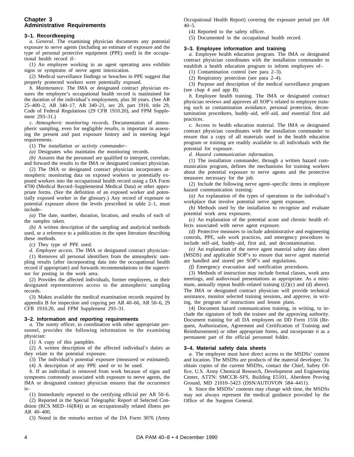# **Chapter 3 Administrative Requirements**

## **3–1. Recordkeeping**

*a. General.* The examining physician documents any potential exposure to nerve agents (including an estimate of exposure and the type of personal protective equipment (PPE) used) in the occupational health record if–

(1) An employee working in an agent operating area exhibits signs or symptoms of nerve agent intoxication.

(2) Medical surveillance findings or breaches in PPE suggest that properly protected workers were potentially exposed.

*b. Maintenance.* The IMA or designated contract physician ensures the employee's occupational health record is maintained for the duration of the individual's employment, plus 30 years. (See AR 25–400–2, AR 340–17, AR 340–21, sec 20, part 1910, title 29, Code of Federal Regulations (29 CFR 1910.20), and FPM Supplement 293–31.)

*c. Atmospheric monitoring records. Documentation of atmos*pheric sampling, even for negligible results, is important in assessing the present and past exposure history and in meeting legal requirements.

(1) *The installation or activity commander–*

*(a)* Designates who maintains the monitoring records.

*(b)* Assures that the personnel are qualified to interpret, correlate, and forward the results to the IMA or designated contract physician.

(2) The IMA or designated contract physician incorporates atmospheric monitoring data on exposed workers or potentially exposed workers into the occupational health record using a DA Form 4700 (Medical Record–Supplemental Medical Data) or other appropriate forms. (See the definition of an exposed worker and potentially exposed worker in the glossary.) Any record of exposure or potential exposure above the levels prescribed in table 2–1, must include–

*(a)* The date, number, duration, location, and results of each of the samples taken.

*(b)* A written description of the sampling and analytical methods used, or a reference to a publication in the open literature describing these methods.

*(c)* They type of PPE used.

*d. Employee access.* The IMA or designated contract physician–

(1) Removes all personal identifiers from the atmospheric sampling results (after incorporating data into the occupational health record if appropriate) and forwards recommendations to the supervisor for posting in the work area.

(2) Provides the affected individuals, former employees, or their designated representatives access to the atmospheric sampling records.

(3) Makes available the medical examination records required by appendix B for inspection and copying per AR 40–66, AR 50–6, 29 CFR 1910.20, and FPM Supplement 293–31.

#### **3–2. Information and reporting requirements**

*a.* The surety officer, in coordination with other appropriate personnel, provides the following information to the examining physician:

(1) A copy of this pamphlet.

(2) A written description of the affected individual's duties as they relate to the potential exposure.

(3) The individual's potential exposure (measured or estimated).

(4) A description of any PPE used or to be used.

*b.* If an individual is removed from work because of signs and symptoms commonly associated with exposure to nerve agents, the IMA or designated contract physician ensures that the occurrence is–

(1) Immediately reported to the certifying official per AR 50–6.

(2) Reported in the Special Telegraphic Report of Selected Condition (RCS MED–16(R4)) as an occupationally related illness per AR 40–400.

(3) Noted in the remarks section of the DA Form 3076 (Army

Occupational Health Report) covering the exposure period per AR 40–5.

(4) Reported to the safety officer.

(5) Documented in the occupational health record.

#### **3–3. Employee information and training**

*a.* Employee health education program. The IMA or designated contract physician coordinates with the installation commander to establish a health education program to inform employees of–

(1) Contamination control (see para 2–3).

(2) Respiratory protection (see para 2–4).

(3) Purpose and description of the medical surveillance program (see chap 4 and app B).

*b.* Employee health training. The IMA or designated contract physician reviews and approves all SOP's related to employee training such as contamination avoidance, personal protection, decontamination procedures, buddy–aid, self–aid, and essential first aid practices.

*c.* Access to health education material. The IMA or designated contract physician coordinates with the installation commander to ensure that a copy of all materials used in the health education program or training are readily available to all individuals with the potential for exposure.

*d. Hazard communication information.*

(1) The installation commander, through a written hazard communication program, defines the mechanisms for training workers about the potential exposure to nerve agents and the protective measures necessary for the job.

(2) Include the following nerve agent–specific items in employee hazard communication training:

*(a)* An explanation of the types of operations in the individual's workplace that involve potential nerve agent exposure.

*(b)* Methods used by the installation to recognize and evaluate potential work area exposures.

*(c)* An explanation of the potential acute and chronic health effects associated with nerve agent exposure.

*(d)* Protective measures to include administrative and engineering controls, PPE, safe work practices, and emergency procedures to include self–aid, buddy–aid, first aid, and decontamination.

*(e)* An explanation of the nerve agent material safety data sheet (MSDS) and applicable SOP's to ensure that nerve agent material are handled and stored per SOP's and regulations.

*(f)* Emergency evacuation and notification procedures.

(3) Methods of instruction may include formal classes, work area meetings, and audiovisual presentations as appropriate. As a minimum, annually repeat health–related training  $((2)(c)$  and  $(d)$  above). The IMA or designated contract physician will provide technical assistance, monitor selected training sessions, and approve, in writing, the program of instructions and lesson plans.

(4) Document hazard communication training, in writing, to include the signature of both the trainee and the approving authority. Document training for all DA employees on DD Form 1556 (Request, Authorization, Agreement and Certification of Training and Reimbursement) or other appropriate forms, and incorporate it as a permanent part of the official personnel folder.

#### **3–4. Material safety data sheets**

*a.* The employee must have direct access to the MSDSs' content and location. The MSDSs are products of the material developer. To obtain copies of the current MSDSs, contact the Chief, Safety Office, U.S. Army Chemical Research, Development and Engineering Center, ATTN: SMCCR–SFS, Building E5101, Aberdeen Proving Ground, MD 21010–5423 (DSN/AUTOVON 584–4411).

*b.* Since the MSDSs' contents may change with time, the MSDSs may not always represent the medical guidance provided by the Office of the Surgeon General.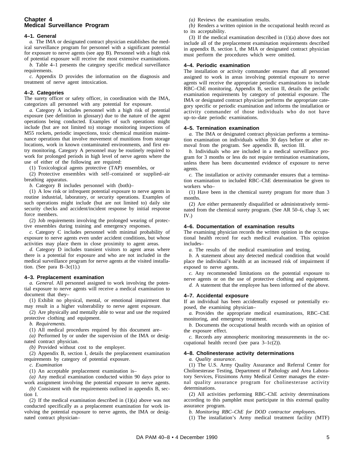# **Chapter 4 Medical Surveillance Program**

#### **4–1. General**

*a.* The IMA or designated contract physician establishes the medical surveillance program for personnel with a significant potential for exposure to nerve agents (see app B). Personnel with a high risk of potential exposure will receive the most extensive examinations.

*b.* Table 4–1 presents the category specific medical surveillance requirements.

*c.* Appendix D provides the information on the diagnosis and treatment of nerve agent intoxication.

## **4–2. Categories**

The surety officer or safety officer, in coordination with the IMA, categorizes all personnel with any potential for exposure.

*a.* Category A includes personnel with a high risk of potential exposure (see definition in glossary) due to the nature of the agent operations being conducted. Examples of such operations might include (but are not limited to) storage monitoring inspections of M55 rockets, periodic inspections, toxic chemical munition maintenance operations that involve movement of munitions from storage locations, work in known contaminated environments, and first entry monitoring. Category A personnel may be routinely required to work for prolonged periods in high level of nerve agents where the use of either of the following are required:

(1) Toxicological agents protective (TAP) ensembles, or

(2) Protective ensembles with self-contained or supplied-air breathing apparatus.

*b.* Category B includes personnel with (both)–

(1) A low risk or infrequent potential exposure to nerve agents in routine industrial, laboratory, or security operations. Examples of such operations might include (but are not limited to) daily site security checks and accident/incident response by initial response force members.

(2) Job requirements involving the prolonged wearing of protective ensembles during training and emergency responses.

*c.* Category C includes personnel with minimal probability of exposure to nerve agents even under accident conditions, but whose activities may place them in close proximity to agent areas.

*d.* Category D includes transient visitors to agent areas where there is a potential for exposure and who are not included in the medical surveillance program for nerve agents at the visited installation. (See para  $B-3c(1)$ .)

## **4–3. Preplacement examination**

*a. General.* All personnel assigned to work involving the potential exposure to nerve agents will receive a medical examination to document that they–

(1) Exhibit no physical, mental, or emotional impairment that may result in a higher vulnerability to nerve agent exposure.

(2) Are physically and mentally able to wear and use the required protective clothing and equipment.

*b. Requirements.*

(1) All medical procedures required by this document are–

*(a)* Performed by or under the supervision of the IMA or designated contract physician.

*(b)* Provided without cost to the employer.

(2) Appendix B, section I, details the preplacement examination requirements by category of potential exposure.

*c. Examination*

(1) An acceptable preplacement examination is–

*(a)* Any medical examination conducted within 90 days prior to

work assignment involving the potential exposure to nerve agents. *(b)* Consistent with the requirements outlined in appendix B, section I.

(2) If the medical examination described in (1)(a) above was not conducted specifically as a preplacement examination for work involving the potential exposure to nerve agents, the IMA or designated contract physician–

*(a)* Reviews the examination results.

*(b)* Renders a written opinion in the occupational health record as to its acceptability.

(3) If the medical examination described in (1)(a) above does not include all of the preplacement examination requirements described in appendix B, section I, the MIA or designated contract physician must perform the procedures which were omitted.

## **4–4. Periodic examination**

The installation or activity commander ensures that all personnel assigned to work in areas involving potential exposure to nerve agents will receive the appropriate periodic examinations to include RBC–ChE monitoring. Appendix B, section II, details the periodic examination requirements by category of potential exposure. The IMA or designated contract physician performs the appropriate category specific or periodic examination and informs the installation or activity commander of those individuals who do not have up–to–date periodic examinations.

#### **4–5. Termination examination**

*a.* The IMA or designated contract physician performs a termination examination on individuals within 30 days before or after removal from the program. See appendix B, section III.

*b.* Individuals who are included in a medical surveillance program for 3 months or less do not require termination examinations, unless there has been documented evidence of exposure to nerve agents.

*c.* The installation or activity commander ensures that a termination examination to included RBC–ChE determination be given to workers who–

(1) Have been in the chemical surety program for more than 3 months.

(2) Are either permanently disqualified or administratively terminated from the chemical surety program. (See AR 50–6, chap 3, sec IV.)

## **4–6. Documentation of examination results**

The examining physician records the written opinion in the occupational health record for each medical evaluation. This opinion includes–

*a.* The results of the medical examination and testing.

*b.* A statement about any detected medical condition that would place the individual's health at an increased risk of impairment if exposed to nerve agents.

*c.* Any recommended limitations on the potential exposure to nerve agents or on the use of protective clothing and equipment.

*d.* A statement that the employee has been informed of the above.

## **4–7. Accidental exposure**

If an individual has been accidentally exposed or potentially exposed, the examining physician–

*a*. Provides the appropriate medical examinations, RBC-ChE monitoring, and emergency treatment.

*b.* Documents the occupational health records with an opinion of the exposure effect.

*c.* Records any atmospheric monitoring measurements in the occupational health record (see para 3–1c(2)).

#### **4–8. Cholinesterase activity determinations**

*a. Quality assurance.*

(1) The U.S. Army Quality Assurance and Referral Center for Cholinesterase Testing, Department of Pathology and Area Laboratory Services, Fitzsimons Army Medical Center manages the external quality assurance program for cholinesterase activity determinations.

(2) All activities performing RBC–ChE activity determinations according to this pamphlet must participate in this external quality assurance program.

*b. Monitoring RBC–ChE for DOD contractor employees.*

 $(1)$  The installation's Army medical treatment facility (MTF)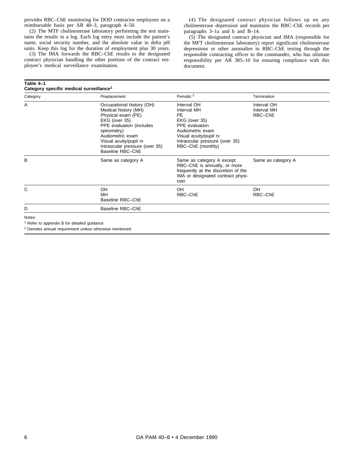provides RBC–ChE monitoring for DOD contractor employees on a reimbursable basis per AR 40–3, paragraph 4–50.

(2) The MTF cholinesterase laboratory performing the test maintains the results in a log. Each log entry must include the patient's name, social security number, and the absolute value in delta pH units. Keep this log for the duration of employment plus 30 years.

(3) The IMA forwards the RBC–ChE results to the designated contract physician handling the other portions of the contract employee's medical surveillance examination.

#### **Table 4–1 Category specific medical surveillance1**

(4) The designated contract physician follows up on any cholinesterase depression and maintains the RBC–ChE records per paragraphs 3–1a and b and B–14.

(5) The designated contract physician and IMA (responsible for the MFT cholinesterase laboratory) report significant cholinesterase depressions or other anomalies in RBC–ChE testing through the responsible contracting officer to the commander, who has ultimate responsibility per AR 385–10 for ensuring compliance with this document.

| Category | Preplacement                                                                                                                                                                                                                            | Periodic <sup>2</sup>                                                                                                                                                     | Termination                           |
|----------|-----------------------------------------------------------------------------------------------------------------------------------------------------------------------------------------------------------------------------------------|---------------------------------------------------------------------------------------------------------------------------------------------------------------------------|---------------------------------------|
| A        | Occupational history (OH)<br>Medical history (MH)<br>Physical exam (PE)<br>EKG (over 35)<br>PPE evaluation (includes<br>spirometry)<br>Audiometric exam<br>Visual acuity/pupil rx<br>Intraocular pressure (over 35)<br>Baseline RBC-ChE | Interval OH<br>Interval MH<br>PE.<br>EKG (over 35)<br>PPE evaluation<br>Audiometric exam<br>Visual acuity/pupil rx<br>Intraocular pressure (over 35)<br>RBC-ChE (monthly) | Interval OH<br>Interval MH<br>RBC-ChE |
| B        | Same as category A                                                                                                                                                                                                                      | Same as category A except<br>RBC-ChE is annually, or more<br>frequently at the discretion of the<br>IMA or designated contract physi-<br>cian                             | Same as category A                    |
| С        | OH<br>MH<br>Baseline RBC-ChE                                                                                                                                                                                                            | OH<br>RBC-ChE                                                                                                                                                             | <b>OH</b><br>RBC-ChE                  |
| D        | Baseline RBC-ChE                                                                                                                                                                                                                        |                                                                                                                                                                           |                                       |

<sup>2</sup> Denotes annual requirement unless otherwise mentioned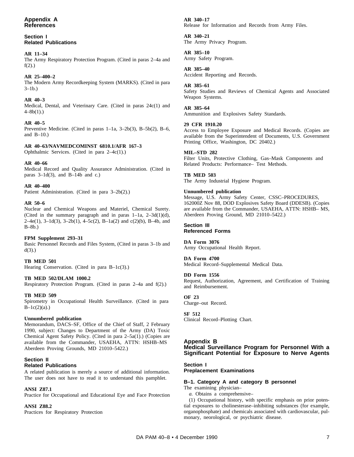## **Section I Related Publications**

# **AR 11–34**

The Army Respiratory Protection Program. (Cited in paras 2–4a and  $f(2)$ .)

# **AR 25–400–2**

The Modern Army Recordkeeping System (MARKS). (Cited in para  $3-1b.$ )

# **AR 40–3**

Medical, Dental, and Veterinary Care. (Cited in paras 24c(1) and 4–8b(1).)

# **AR 40–5**

Preventive Medicine. (Cited in paras 1–1a, 3–2b(3), B–5b(2), B–6, and  $B-10.$ )

# **AR 40–63/NAVMEDCOMINST 6810.1/AFR 167–3**

Ophthalmic Services. (Cited in para 2–4c(1).)

# **AR 40–66**

Medical Record and Quality Assurance Administration. (Cited in paras  $3-1d(3)$ , and  $B-14b$  and c.)

# **AR 40–400**

Patient Administration. (Cited in para 3–2b(2).)

# **AR 50–6**

Nuclear and Chemical Weapons and Materiel, Chemical Surety. (Cited in the summary paragraph and in paras 1–1a, 2–3d(1)(d), 2–4e(1), 3–1d(3), 3–2b(1), 4–5c(2), B–1a(2) and c(2)(b), B–4b, and  $B-8b.$ )

# **FPM Supplement 293–31**

Basic Personnel Records and Files System, (Cited in paras 3–1b and  $d(3)$ .)

# **TB MED 501**

Hearing Conservation. (Cited in para B-1c(3).)

# **TB MED 502/DLAM 1000.2**

Respiratory Protection Program. (Cited in paras 2–4a and f(2).)

# **TB MED 509**

Spirometry in Occupational Health Surveillance. (Cited in para  $B-1c(2)(a)$ .)

# **Unnumbered publication**

Memorandum, DACS–SF, Office of the Chief of Staff, 2 February 1990, subject: Changes to Department of the Army (DA) Toxic Chemical Agent Safety Policy. (Cited in para 2–5a(1).) (Copies are available from the Commander, USAEHA, ATTN: HSHB–MS Aberdeen Proving Grounds, MD 21010–5422.)

## **Section II Related Publications**

A related publication is merely a source of additional information. The user does not have to read it to understand this pamphlet.

# **ANSI Z87.1**

Practice for Occupational and Educational Eye and Face Protection

# **ANSI Z88.2**

Practices for Respiratory Protection

## **AR 340–17** Release for Information and Records from Army Files.

**AR 340–21**

The Army Privacy Program.

# **AR 385–10**

Army Safety Program.

# **AR 385–40**

Accident Reporting and Records.

## **AR 385–61**

Safety Studies and Reviews of Chemical Agents and Associated Weapon Systems.

# **AR 385–64**

Ammunition and Explosives Safety Standards.

# **29 CFR 1910.20**

Access to Employee Exposure and Medical Records. (Copies are available from the Superintendent of Documents, U.S. Government Printing Office, Washington, DC 20402.)

# **MIL–STD 282**

Filter Units, Protective Clothing, Gas–Mask Components and Related Products: Performance– Test Methods.

# **TB MED 503**

The Army Industrial Hygiene Program.

## **Unnumbered publication**

Message, U.S. Army Safety Center, CSSC–PROCEDURES, 162000Z Nov 88, DOD Explosives Safety Board (DDESB). (Copies are available from the Commander, USAEHA, ATTN: HSHB– MS, Aberdeen Proving Ground, MD 21010–5422.)

#### **Section III Referenced Forms**

# **DA Form 3076**

Army Occupational Health Report.

# **DA Form 4700**

Medical Record–Supplemental Medical Data.

# **DD Form 1556**

Request, Authorization, Agreement, and Certification of Training and Reimbursement.

# **OF 23**

Charge–out Record.

# **SF 512**

Clinical Record–Plotting Chart.

# **Appendix B**

**Medical Surveillance Program for Personnel With a Significant Potential for Exposure to Nerve Agents**

# **Section I**

# **Preplacement Examinations**

# **B–1. Category A and category B personnel**

The examining physician–

*a.* Obtains a comprehensive–

(1) Occupational history, with specific emphasis on prior potential exposures to cholinesterase–inhibiting substances (for example, organophosphate) and chemicals associated with cardiovascular, pulmonary, neorological, or psychiatric disease.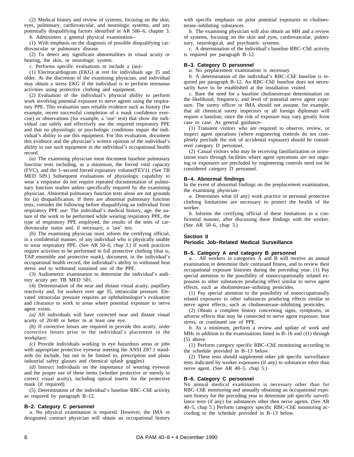(2) Medical history and review of systems, focusing on the skin, eyes, pulmonary, cardiovascular, and neurologic systems, and any potentially disqualifying factors identified in AR 506–6, chapter 3.

*b.* Administers a general physical examination–

(1) With emphasis on the diagnosis of possible disqualifying cardiovascular or pulmonary disease.

(2) To detect any significant abnormalities in visual acuity or hearing, the skin, or neurologic system.

*c.* Performs specific evaluations to include a (an)–

(1) Electrocardiogram (EKG) at rest for individuals age 35 and older. At the discretion of the examining physician, and individual may obtain a stress EKG if the individual is to perform strenuous activities using protective clothing and equipment.

(2) Evaluation of the individual's physical ability to perform work involving potential exposure to nerve agents using the respiratory PPE. This evaluation uses reliable evidence such as history (for example, recent successful completion of a mask confidence exercise) or observations (for example, a 'use' test) that show the individual can safely and effectively use the required respiratory PPE and that no physiologic or psychologic conditions impair the individual's ability to use this equipment. For this evaluation, document this evidence and the physician's written opinion of the individual's ability to use such equipment in the individual's occupational health record.

*(a)* The examining physician must document baseline pulmonary function tests including, as a minimum, the forced vital capacity (FVC), and the 1–second forced expiratory volume(FEV1). (See TB MED 509.) Subsequent evaluations of physiologic capability to wear a respirator do not require repeated documentation of pulmonary function studies unless specifically required by the examining physician. Abnormal pulmonary function tests alone are not grounds for (a) disqualification. If there are abnormal pulmonary function tests, consider the following before disqualifying an individual from respiratory PPE use: The individual's medical history, age, the nature of the work to be performed while wearing respiratory PPE, the type of respiratory PPE employed, the results of the tests of cardiovascular status and, if necessary, a 'use' test.

*(b)* The examining physician must inform the certifying official, in a confidential manner, of any individual who is physically unable to wear respiratory PPE. (See AR 50–6, chap 3.) If work practices require activities to be performed in full protective clothing (that is, TAP ensemble and protective mask), document, in the individual's occupational health record, the individual's ability to withstand heat stress and to withstand sustained use of the PPE.

(3) Audiometric examination to determine the individual's auditory acuity per TB MED 501.

(4) Determination of the near and distant visual acuity, pupillary reactivity and, for workers over age 35, intraocular pressure. Elevated intraocular pressure requires an ophthalmologist's evaluation and clearance to work in areas where potential exposure to nerve agent exists.

*(a)* All individuals will have corrected near and distant visual acuity of 20/40 or better in at least one eye.

*(b)* If corrective lenses are required to provide this acuity, order corrective lenses prior to the individual's placement in the workplace.

*(c)* Provide individuals working in eye hazardous areas or jobs with appropriate protective eyewear meeting the ANSI Z87.1 standards (to include, but not to be limited to, prescription and plano industrial safety glasses and chemical splash goggles).

*(d)* Instruct individuals on the importance of wearing eyewear and the proper use of these items (whether protective or merely to correct visual acuity), including optical inserts for the protective mask (if required).

(5) Determination of the individual's baseline RBC–ChE activity as required by paragraph B–12.

#### **B–2. Category C personnel**

*a.* No physical examination is required. However, the IMA or designated contract physician will obtain an occupational history with specific emphasis on prior potential exposures to cholinesterase–inhibiting substances.

*b.* The examining physician will also obtain an MH and a review of systems, focusing on the skin and eyes, cardiovascular, pulmonary, neurological, and psychiatric systems.

*c.* A determination of the individual's baseline RBC–ChE activity is required per paragraph B–12.

#### **B–3. Category D personnel**

*a.* No preplacement examination is necessary

*b.* A determination of the individual's RBC–ChE baseline is required per paragraph B–12. An RBC–ChE baseline does not necessarily have to be established at the installation visited.

*c.* Base the need for a baseline cholinesterase determination on the likelihood, frequency, and level of potential nerve agent exposure. The surety officer or IMA should not assume, for example, that all chemical surety inspectors or all foreign diplomats will require a baseline, since the risk of exposure may vary greatly from case to case. As general guidance–

(1) Transient visitors who are required to observe, review, or inspect agent operations (where engineering controls do not completely preclude the risk of accidental exposure) should be considered category D personnel.

(2) Casual visitors who may be receiving familiarization or orientation tours through facilities where agent operations are not ongoing or exposures are precluded by engineering controls need not be considered category D personnel.

#### **B–4. Abnormal findings**

In the event of abnormal findings on the preplacement examination, the examining physician–

*a.* Determines what (if any) work practice or personal protective clothing limitations are necessary to protect the health of the worker.

*b.* Informs the certifying official of these limitations in a conficential manner, after discussing these findings with the worker. (See AR 50–6, chap 3.)

#### **Section II**

#### **Periodic Job–Related Medical Surveillance**

# **B–5. Category A and category B personnel**

*a.* . All workers in categories A and B will receive an annual examination to determine their continued fitness, and to review their occupational exposure histories during the preceding year. (1) Pay special attention to the possibility of nonoccupationally related exposures to other substances producing effect similar to nerve agent effects, such as sholinesterase–inibiting pesticides.

(1) Pay special attention to the possibility of nonoccupationally related exposures to other substances producing effects similar to nerve agent effects, such as cholinesterase–inhibiting pesticides.

(2) Obtain a complete history concerning signs, symptoms, or adverse effects that may be connected to nerve agent exposure, heat stress, or continued use of PPE.

*b.* As a minimum, perform a review and update of work and MHs in addition to the examinations listed in B–1b and c(1) through (5) above.

(1) Perform category specific RBC–ChE monitoring according to the schedule provided in B–13 below.

(2) These tests should supplement other job specific surveillance tests indicated by worker exposures (if any) to substances other than nerve agent. (See AR 40–5, chap 5.)

#### **B–6. Category C personnel**

No annual medical examination is necessary other than for RBC–ChE monitoring and annually obtaining an occupational exposure history for the preceding year to determine job specific surveillance tests (if any) for substances other then nerve agents. (See AR 40–5, chap 5.) Perform category specific RBC–ChE monitoring according to the schedule provided in B–13 below.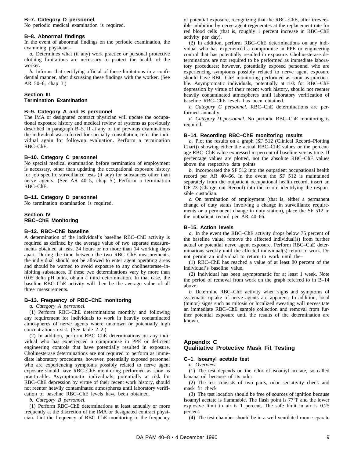## **B–7. Category D personnel**

No periodic medical examination is required.

#### **B–8. Abnormal findings**

In the event of abnormal findings on the periodic examination, the examining physician–

*a.* Determines what (if any) work practice or personal protective clothing limitations are necessary to protect the health of the worker.

*b.* Informs that certifying official of these limitations in a confidential manner, after discussing these findings with the worker. (See AR 50–6, chap 3.)

## **Section III Termination Examination**

## **B–9. Category A and B personnel**

The IMA or designated contract physician will update the occupational exposure history and medical review of systems as previously described in paragraph B–5. If at any of the previous examinations the individual was referred for specialty consultation, refer the individual again for followup evaluation. Perform a termination RBC–ChE.

#### **B–10. Category C personnel**

No special medical examination before termination of employment is necessary, other than updating the occupational exposure history for job specific surveillance tests (if any) for substances other than nerve agents. (See AR 40-5, chap 5.) Perform a termination RBC–ChE.

## **B–11. Category D personnel**

No termination examination is required.

#### **Section IV RBC–ChE Monitoring**

#### **B–12. RBC–ChE baseline**

A determination of the individual's baseline RBC–ChE activity is required as defined by the average value of two separate measurements obtained at least 24 hours or no more than 14 working days apart. During the time between the two RBC–ChE measurements, the individual should not be allowed to enter agent operating areas and should be warned to avoid exposure to any cholinesterase–inhibiting substances. If these two determinations vary by more than 0.05 delta pH units, obtain a third determination. In that case, the baseline RBC–ChE activity will then be the average value of all three measurements.

#### **B–13. Frequency of RBC–ChE monitoring**

*a. Category A personnel.*

(1) Perform RBC-ChE determinations monthly and following any requirement for individuals to work in heavily contaminated atmospheres of nerve agents where unknown or potentially high concentrations exist. (See table 2–2.)

(2) In addition, perform RBC–ChE determinations on any individual who has experienced a compromise in PPE or deficient engineering controls that have potentially resulted in exposure. Cholinesterase determinations are not required to perform as immediate laboratory procedures; however, potentially exposed personnel who are experiencing symptoms possibly related to nerve agent exposure should have RBC–ChE monitoring performed as soon as practicable. Asymptomatic individuals, potentially at risk for RBC–ChE depression by virtue of their recent work history, should not reenter heavily contaminated atmospheres until laboratory verification of baseline RBC–ChE levels have been obtained.

*b. Category B personnel.*

(1) Perform RBC–ChE determinations at least annually or more frequently at the discretion of the IMA or designated contract physician. Lint the frequency of RBC–ChE monitoring to the frequency

of potential exposure, recognizing that the RBC–ChE, after irreversible inhibition by nerve agent regenerates at the replacement rate for red blood cells (that is, roughly 1 percent increase in RBC–ChE activity per day).

(2) In addition, perform RBC–ChE determinations on any individual who has experienced a compromise in PPE or engineering control that has potentially resulted in exposure. Cholinesterase determinations are not required to be performed as immediate laboratory procedures; however, potentially exposed personnel who are experiencing symptoms possibly related to nerve agent exposure should have RBC–ChE monitoring performed as soon as practicable. Asymptomatic individuals, potentially at risk for RBC–ChE depression by virtue of their recent work history, should not reenter heavily contaminated atmospheres until laboratory verification of baseline RBC–ChE levels has been obtained.

*c. Category C personnel. RBC-ChE determinations are per*formed annually.

*d. Category D personnel.* No periodic RBC–ChE monitoring is required.

#### **B–14. Recording RBC–ChE monitoring results**

*a.* Plot the results on a graph (SF 512 (Clinical Record–Plotting Chart)) showing either the actual RBC–ChE values or the percentage RBC–ChE value expressed in percent of baseline versus time. If percentage values are plotted, not the absolute RBC–ChE values above the respective data points.

*b.* Incorporated the SF 512 into the outpatient occupational health record per AR  $40-66$ . In the event the SF  $512$  is maintained separately from the outpatient occupational health record, insert an OF 23 (Charge–out–Record) into the record identifying the responsible custodian.

*c.* On termination of employment (that is, either a permanent change of duty status involving a change in surveillance requirements or a permanent change in duty station), place the SF 512 in the outpatient record per AR 40–66.

#### **B–15. Action levels**

*a.* In the event the RBC–ChE activity drops below 75 percent of the baseline value, remove the affected individual(s) from further actual or potential nerve agent exposure. Perform RBC–ChE determinations weekly until the affected individual(s) return to work. Do not permit an individual to return to work until the–

(1) RBC–ChE has reached a value of at least 80 percent of the individual's baseline value.

(2) Individual has been asymptomatic for at least 1 week. Note the period of removal from work on the graph referred to in B–14 above.

*b.* Determine RBC–ChE activity when signs and symptoms of systematic uptake of nerve agents are apparent. In addition, local (minor) signs such as mitosis or localized sweating will necessitate an immediate RBC–ChE sample collection and removal from further potential exposure until the results of the determination are known.

## **Appendix C Qualitative Protective Mask Fit Testing**

#### **C–1. Isoamyl acetate test**

*a. Overview.*

(1) The test depends on the odor of isoamyl acetate, so–called banana oil because of its odor

(2) The test consists of two parts, odor sensitivity check and mask fit check

(3) The test location should be free of sources of ignition because isoamyl acetate is flammable. The flash point is 77°F and the lower explosive limit in air is 1 percent. The safe limit in air is 0.25 percent.

(4) The test chamber should be in a well ventilated room separate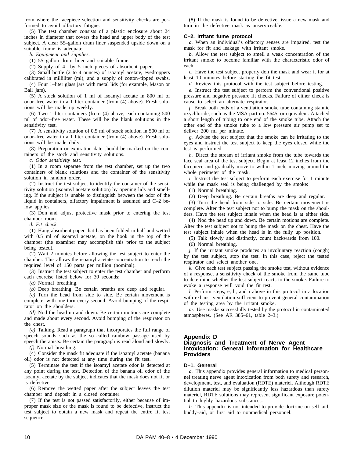from where the facepiece selection and sensitivity checks are performed to avoid olfactory fatigue.

(5) The test chamber consists of a plastic enclosure about 24 inches in diameter that covers the head and upper body of the test subject. A clear 55–gallon drum liner suspended upside down on a suitable frame is adequate.

*b. Equipment and supplies.*

(1) 55–gallon drum liner and suitable frame.

(2) Supply of 4– by 5–inch pieces of absorbent paper.

(3) Small bottle (2 to 4 ounces) of isoamyl acetate, eyedroppers calibrated in milliliter (ml), and a supply of cotton–tipped swabs.

(4) Four 1–liter glass jars with metal lids (for example, Mason or Ball jars).

(5) A stock solution of 1 ml of isoamyl acetate in 800 ml of odor–free water in a 1 liter container (from (4) above). Fresh solutions will be made up weekly.

(6) Two 1–liter containers (from (4) above, each containing 500 ml of odor–free water. These will be the blank solutions in the sensitivity test.

(7) A sensitivity solution of 0.5 ml of stock solution in 500 ml of odor–free water in a 1 liter container (from (4) above). Fresh solutions will be made daily.

(8) Preparation or expiration date should be marked on the containers of the stock and sensitivity solutions.

*c. Odor sensitivity test.*

(1) In a room separate from the test chamber, set up the two containers of blank solutions and the container of the sensitivity solution in random order.

(2) Instruct the test subject to identify the container of the sensitivity solution (isoamyl acetate solution) by opening lids and smelling. If the subject is unable to distinguish between the odor of the liquid in containers, olfactory impairment is assumed and C–2 below applies.

(3) Don and adjust protective mask prior to entering the test chamber room.

*d. Fit check.*

(1) Hang absorbent paper that has been folded in half and wetted with 0.5 ml of isoamyl acetate, on the hook in the top of the chamber (the examiner may accomplish this prior to the subject being tested).

(2) Wait 2 minutes before allowing the test subject to enter the chamber. This allows the isoamyl acetate concentration to reach the required level of 150 parts per million (nominal).

(3) Instruct the test subject to enter the test chamber and perform each exercise listed below for 30 seconds:

*(a)* Normal breathing.

*(b)* Deep breathing. Be certain breaths are deep and regular.

*(c)* Turn the head from side to side. Be certain movement is complete, with one turn every second. Avoid bumping of the respirator on the shoulders.

*(d)* Nod the head up and down. Be certain motions are complete and made about every second. Avoid bumping of the respirator on the chest.

*(e)* Talking. Read a paragraph that incorporates the full range of speech sounds such as the so-called rainbow passage used by speech therapists. Be certain the paragraph is read aloud and slowly.

*(f)* Normal breathing.

(4) Consider the mask fit adequate if the isoamyl acetate (banana oil) odor is not detected at any time during the fit test.

(5) Terminate the test if the isoamyl acetate odor is detected at any point during the test. Detection of the banana oil odor of the isoamyl acetate by the subject indicates that the mask does not fit or is defective.

(6) Remove the wetted paper after the subject leaves the test chamber and deposit in a closed container.

(7) If the test is not passed satisfactorily, either because of improper mask size or the mask is found to be defective, instruct the test subject to obtain a new mask and repeat the entire fit test sequence.

(8) If the mask is found to be defective, issue a new mask and turn in the defective mask as unserviceable.

#### **C–2. Irritant fume protocol**

*a.* When an individual's olfactory senses are impaired, test the mask for fit and leakage with irritant smoke.

*b.* Allow the test subject to smell a weak concentration of the irritant smoke to become familiar with the characteristic odor of each.

*c.* Have the test subject properly don the mask and wear it for at least 10 minutes before starting the fit test.

*d.* Review this protocol with the test subject before testing.

*e.* Instruct the test subject to perform the conventional positive pressure and negative pressure fit checks. Failure of either check is cause to select an alternate respirator.

*f.* Break both ends of a ventilation smoke tube containing stannic oxychloride, such as the MSA part no. 5645, or equivalent. Attached a short length of tubing to one end of the smoke tube. Attach the other end of the smoke tube to a low pressure air pump set to deliver 200 ml per minute.

*g.* Advise the test subject that the smoke can be irritating to the eyes and instruct the test subject to keep the eyes closed while the test is performed.

*h.* Direct the stream of irritant smoke from the tube towards the face seal area of the test subject. Begin at least 12 inches from the facepiece and gradually move to within 1 inch, moving around the whole perimeter of the mask.

*i*. Instruct the test subject to perform each exercise for 1 minute while the mask seal is being challenged by the smoke:

(1) Normal breathing.

(2) Deep breathing. Be certain breaths are deep and regular.

(3) Turn the head from side to side. Be certain movement is complete. Alter the test subject not to bump the mask on the shoulders. Have the test subject inhale when the head is at either side.

(4) Nod the head up and down. Be certain motions are complete. Alter the test subject not to bump the mask on the chest. Have the test subject inhale when the head is in the fully up position.

(5) Talk slowly and distinctly, count backwards from 100.

(6) Normal breathing.

*j.* If the irritant smoke produces an involuntary reaction (cough) by the test subject, stop the test. In this case, reject the tested respirator and select another one.

*k.* Give each test subject passing the smoke test, without evidence of a response, a sensitivity check of the smoke from the same tube to determine whether the test subject reacts to the smoke. Failure to evoke a response will void the fit test.

*l.* Perform steps, e, h, and i above in this protocol in a location with exhaust ventilation sufficient to prevent general contamination of the testing area by the irritant smoke.

*m.* Use masks successfully tested by the protocol in contaminated atmospheres. (See AR 385–61, table 2–3.)

## **Appendix D**

## **Diagnosis and Treatment of Nerve Agent Intoxication: General Information for Healthcare Providers**

## **D–1. General**

*a.* This appendix provides general information to medical personnel treating nerve agent intoxication from both surety and research, development, test, and evaluation (RDTE) materiel. Although RDTE dilution materiel may be significantly less hazardous than surety materiel, RDTE solutions may represent significant exposure potential to highly hazardous substances.

*b.* This appendix is not intended to provide doctrine on self–aid, buddy–aid, or first aid to nonmedical personnel.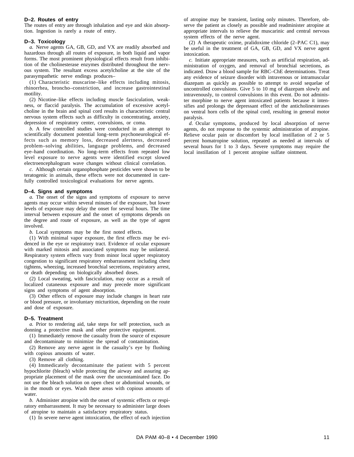#### **D–2. Routes of entry**

The routes of entry are through inhalation and eye and skin absorption. Ingestion is rarely a route of entry.

#### **D–3. Toxicology**

*a.* Nerve agents GA, GB, GD, and VX are readily absorbed and hazardous through all routes of exposure, in both liquid and vapor forms. The most prominent physiological effects result from inhibition of the cholinesterase enzymes distributed throughout the nervous system. The resultant excess acetylcholine at the site of the parasympathetic nerve endings produces–

(1) Characteristic muscarine-like effects including mitosis, rhinorrhea, broncho-constriction, and increase gastrointestinal motility.

(2) Nicotine–like effects including muscle fasciculation, weakness, or flaccid paralysis. The accumulation of excessive acetylcholine in the brain and spinal cord results in characteristic central nervous system effects such as difficulty in concentrating, anxiety, depression of respiratory center, convulsions, or coma.

*b.* A few controlled studies were conducted in an attempt to scientifically document potential long–term psychoneurological effects such as memory loss, decreased alertness, decreased problem-solving abilities, language problems, and decreased eye–hand coordination. No long–term effects from repeated low level exposure to nerve agents were identified except slowed electroencephalogram wave changes without clinical correlation.

*c.* Although certain organophosphate pesticides were shown to be teratogenic in animals, these effects were not documented in carefully controlled toxicological evaluations for nerve agents.

#### **D–4. Signs and symptoms**

*a.* The onset of the signs and symptoms of exposure to nerve agents may occur within several minutes of the exposure, but lower levels of exposure may delay the onset for several hours. The time interval between exposure and the onset of symptoms depends on the degree and route of exposure, as well as the type of agent involved.

*b.* Local symptoms may be the first noted effects.

(1) With minimal vapor exposure, the first effects may be evidenced in the eye or respiratory tract. Evidence of ocular exposure with marked mitosis and associated symptoms may be unilateral. Respiratory system effects vary from minor local upper respiratory congestion to significant respiratory embarrassment including chest tightens, wheezing, increased bronchial secretions, respiratory arrest, or death depending on biologically absorbed doses.

(2) Local sweating, with fasciculation, may occur as a result of localized cutaneous exposure and may precede more significant signs and symptoms of agent absorption.

(3) Other effects of exposure may include changes in heart rate or blood pressure, or involuntary micturition, depending on the route and dose of exposure.

#### **D–5. Treatment**

*a.* Prior to rendering aid, take steps for self protection, such as donning a protective mask and other protective equipment.

(1) Immediately remove the casualty from the source of exposure and decontaminate to minimize the spread of contamination.

(2) Remove any nerve agent in the casualty's eye by flushing with copious amounts of water.

(3) Remove all clothing.

(4) Immedicately decontaminate the patient with  $5$  percent hypochlorite (bleach) while protecting the airway and assuring appropriate placement of the mask over the uncontaminated face. Do not use the bleach solution on open chest or abdominal wounds, or in the mouth or eyes. Wash these areas with copious amounts of water.

*b.* Administer atropine with the onset of systemic effects or respiratory embarrassment. It may be necessary to administer large doses of atropine to maintain a satisfactory respiratory status.

(1) In severe nerve agent intoxication, the effect of each injection

of atropine may be transient, lasting only minutes. Therefore, observe the patient as closely as possible and readminister atropine at appropriate intervals to relieve the muscarinic and central nervous system effects of the nerve agent.

(2) A therapeutic oxime, pralidoxime chloride (2–PAC C1), may be useful in the treatment of GA, GB, GD, and VX nerve agent intoxication.

*c.* Initiate appropriate measures, such as artificial respiration, administration of oxygen, and removal of bronchial secretions, as indicated. Draw a blood sample for RBC–ChE determinations. Treat any evidence of seizure disorder with intravenous or intramuscular diazepam as quickly as possible to attempt to avoid sequelae of uncontrolled convulsions. Give 5 to 10 mg of diazepam slowly and intravenously, to control convulsions in this event. Do not administer morphine to nerve agent intoxicated patients because it intensifies and prolongs the depressant effect of the anticholinesterases on ventral horn cells of the spinal cord, resulting in general motor paralysis.

*d.* Ocular symptoms, produced by local absorption of nerve agents, do not response to the systemic administration of atropine. Relieve ocular pain or discomfort by local instillation of 2 or 5 percent homatropine solution, repeated as needed at intervals of several hours for 1 to 3 days. Severe symptoms may require the local instillation of 1 percent atropine sulfate ointment.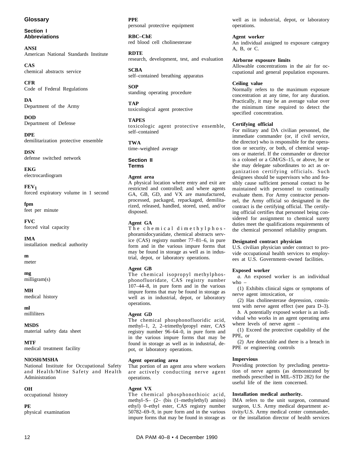# **Glossary**

**Section I Abbreviations**

**ANSI** American National Standards Institute

**CAS** chemical abstracts service

**CFR** Code of Federal Regulations

**DA** Department of the Army

**DOD** Department of Defense

**DPE** demilitarization protective ensemble

**DSN** defense switched network

**EKG** electrocardiogram

**FEV1** forced expiratory volume in 1 second

**fpm** feet per minute

**FVC** forced vital capacity

**IMA** installation medical authority

**m** meter

**mg** milligram(s)

**MH** medical history

**ml** milliliters

**MSDS** material safety data sheet

**MTF** medical treatment facility

## **NIOSH/MSHA**

National Institute for Occupational Safety and Health/Mine Safety and Health Administration

## **OH**

occupational history

## **PE**

physical examination

# **PPE**

personal protective equipment

**RBC–ChE** red blood cell cholinesterase

**RDTE** research, development, test, and evaluation

**SCBA** self–contained breathing apparatus

**SOP** standing operating procedure

**TAP** toxicological agent protective

# **TAPES**

toxicologic agent protective ensemble, self–contained

## **TWA**

time–weighted average

## **Section II Terms**

## **Agent area**

A physical location where entry and exit are restricted and controlled; and where agents GA, GB, GD, and VX are manufactured, processed, packaged, repackaged, demilitarized, released, handled, stored, used, and/or disposed.

# **Agent GA**

The chemical dimethylphosphoramidocyanidate, chemical abstracts service (CAS) registry number 77–81–6, in pure form and in the various impure forms that may be found in storage as well as in industrial, depot, or laboratory operations.

# **Agent GB**

The chemical isopropyl methylphosphonofluoridate, CAS registry number 107–44–8, in pure form and in the various impure forms that may be found in storage as well as in industrial, depot, or laboratory operations.

# **Agent GD**

The chemical phosphonofluoridic acid, methyl-1, 2, 2-trimethylpropyl ester, CAS registry number 96–64–0, in pure form and in the various impure forms that may be found in storage as well as in industrial, depot, or laboratory operations.

## **Agent operating area**

That portion of an agent area where workers are actively conducting nerve agent operations.

# **Agent VX**

The chemical phosphonothioic acid, methyl–S– (2– (bis (1–methylethyl) amino) ethyl) 0-ethyl ester, CAS registry number 50782–69–9, in pure form and in the various impure forms that may be found in storage as well as in industrial, depot, or laboratory operations.

# **Agent worker**

An individual assigned to exposure category A, B, or C.

## **Airborne exposure limits**

Allowable concentrations in the air for occupational and general population exposures.

## **Ceiling value**

Normally refers to the maximum exposure concentration at any time, for any duration. Practically, it may be an average value over the minimum time required to detect the specified concentration.

## **Certifying official**

For military and DA civilian personnel, the immediate commander (or, if civil service, the director) who is responsible for the operation or security, or both, of chemical weapons or materiel. If the commander or director is a colonel or a GM/GS–15, or above, he or she may delegate subordinates to act as organization certifying officials. Such designees should be supervisors who and feasibly cause sufficient personal contact to be maintained with personnel to continually evaluate them. For Army contractor personnel, the Army official so designated in the contract is the certifying official. The certifying official certifies that personnel being considered for assignment to chemical surety duties meet the qualifications requirements of the chemical personnel reliability program.

## **Designated contract physician**

U.S. civilian physician under contract to provide occupational health services to employees at U.S. Government–owned facilities.

# **Exposed worker**

*a*. An exposed worker is an individual who –

(1) Exhibits clinical signs or symptoms of nerve agent intoxication, or

(2) Has cholinesterase depression, consistent with nerve agent effect (see para D–3).

*b.* A potentially exposed worker is an individual who works in an agent operating area where levels of nerve agent –

(1) Exceed the protective capability of the PPE, or

(2) Are detectable and there is a breach in PPE or engineering controls

# **Impervious**

Providing protection by precluding penetration of nerve agents (as demonstrated by methods prescribed in MIL–STD 282) for the useful life of the item concerned.

# **Installation medical authority.**

IMA refers to the unit surgeon, command surgeon, U.S. Army medical department activity/U.S. Army medical center commander, or the installation director of health services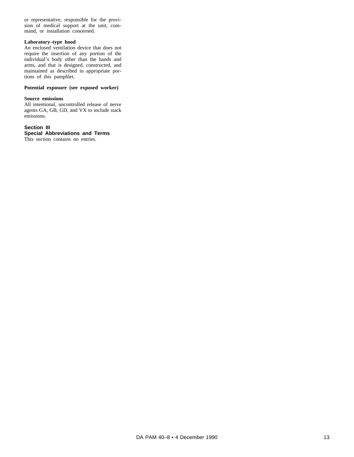or representative, responsible for the provision of medical support at the unit, command, or installation concerned.

## **Laboratory–type hood**

An enclosed ventilation device that does not require the insertion of any portion of the individual's body other than the hands and arms, and that is designed, constructed, and maintained as described in appropriate portions of this pamphlet.

## **Potential exposure (see exposed worker)**

## **Source emissions**

All intentional, uncontrolled release of nerve agents GA, GB, GD, and VX to include stack emissions.

## **Section III Special Abbreviations and Terms**

This section contains no entries.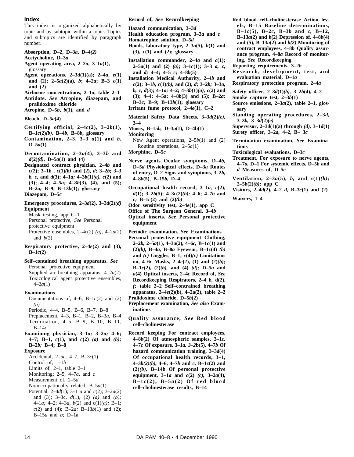## **Index**

This index is organized alphabetically by topic and by subtopic within a topic. Topics and subtopics are identified by paragraph number.

- **Absorption, D–2, D–3***a***, D–4***(2)*
- **Acetycholine, D–3***a*
- **Agent operating area, 2–2***a***, 3–1***a***(1),** glossary
- Agent operations,  $2-3d(1)(a)$ ;  $2-4a$ ,  $e(1)$ and (2); 2-5a(2)(a), b; 4-2a; B-3  $c(1)$ **and (2)**
- **Airborne concentrations, 2–1***a***, table 2–1**
- Antidote. See Atropine, diazepam, and **pralidoxime chloride**
- **Atropine, D–5***b***,** *b***(1), and** *d*

**Bleach, D–5***a***(4)**

- **Certifying official,**  $2-4c(2)$ **,**  $3-2b(1)$ **, B–1***c***(2)***(b)***, B–4***b***, B–8***b***, glossary**
- Contamination,  $2-3$ ,  $3-3$   $a(1)$  and  $b$ , **D–5***a***(1)**
- Decontamination,  $2-3a(4)$ ,  $3-3b$  and *d***(2)***(d)***, D–5***a***(1) and (4)**
- **Designated contract physician, 2–4b and** *c***(2); 3–1***b* **,** *c***(1)***(b)* **and (2),** *d;* **3–2***b;* **3–3** *b, c,* **and** *d***(3); 4–1***a;* **4–3***b***(1)***(a), c***(2) and**  $(3)$ ;  $4-4$ ;  $4-5a$ ;  $4-8b(3)$ ,  $(4)$ , and  $(5)$ ; **B–2***a;* **B–9; B–13***b***(1); glossary Diazepam, D–5***c*
- **Emergency procedures, 2–3***d***(2), 3–3***d***(2)***(d)* **Equipment**

Mask testing, app C–1 Personal protective, *See* Personal protective equipment Protective ensembles,  $2-4e(2)$  *(b),*  $4-2a(2)$ and  $b(2)$ 

- **Respiratory** protective,  $2-4e(2)$  and  $(3)$ ,  $B - 1c(2)$
- **Self–contained breathing apparatus.** *See* Personal protective equipment Supplied–air breathing apparatus, 4–2*a*(2)
	- Toxicological agent protective ensembles, 4–2*a*(1)

#### **Examinations**

- Documentations of,  $4-6$ ,  $B-1c(2)$  and (2) *(a)* Periodic, 4–4, B–5, B–6, B–7, B–8 Preplacement, 4–3, B–1, B–2, B–3*a,* B–4 Termination,  $4-5$ , B-9, B-10, B-11, B–14*c* **Examining physician, 3–1a; 3–2a; 4–6;**
- **4-7;** B-1,  $c(1)$ , and  $c(2)$  (*a*) and (*b*); **B–2***b;* **B–4; B–8**

#### **Exposure**

Accidental, 2–5*c,* 4–7, B–3*c*(1)

- Control of, 1–1*b*
- Limits of, 2–1, table 2–1
- Monitoring; 2–5, 4–7*a,* and *c*
- Measurement of, 2–5*d*
- Nonoccupationally related, B–5*a*(1)
- Potential, 2–4*d*(1); 3–1 *a* and *c*(2); 3–2*a*(2) and (3); 3–3c,  $d(1)$ , (2) (a) and (b); 4–1*a;* 4–2; 4–3*a, b*(2) and c(1)*(a);* B–1; *c*(2) and (4); B–2*a;* B–13*b*(1) and (2); B–15*a* and *b;* D–1a
- **Record of,** *See* **Recordkeeping**
- **Hazard communication, 3–3***d*
- **Health education program, 3–3***a* **and** *c*
- **Homatropine solution, D–5***d*
- **Hoods, laboratory type, 2–3** $a(5)$ **,**  $b(1)$  **and (3),** *c***(1) and (2); glossary**
- **Installation** commander,  $2-4a$  and  $c(1)$ ; **2–5***a***(1) and (2)** *(a)***; 3–1***c***(1); 3–3** *a, c,* **and** *d;* **4–4; 4–5** *c;* **4–8***b***(5)**
- **Installation Medical Authority, 2–4***b* **and** *c***(2); 3–1***b,* **c(1)***(b),* **and (2),** *d;* **3–2***b;* **3–3***a, b,* **c,** *d***(3); 4–1***a;* **4–2; 4–3***b***(1)***(a), c***(2) and (3); 4–4; 4–5a; 4–8***b***(3) and (5); B–2***a;* **B–3***c;* **B–9; B–13***b***(1); glossary Irritant fume protocol, 2–4***e***(1), C–2**
- Material Safety Data Sheets,  $3-3d(2)(e)$ , **3–4**
- **Miosis, B–15***b,* **D–3***a***(1), D–4b(1)**
- **Monitoring**
- New Agent operations,  $2-5b(1)$  and (2) Routine operations, 2–5*a*(1)
- **Morphine, D–5***c*
- Nerve agents Ocular symptoms, D-4b, **D–5***d* **Physiological effects, D–3***a* **Routes of entry, D–2 Signs and symptoms, 3–2***b,* **4–8***b***(5), B–15***b,* **D–4**
- Occupational health record,  $3-1a$ ,  $c(2)$ , *d***(1); 3–2***b***(5); 4–3***c***(2)***(b);* **4–6; 4–7***b* **and**  $c$ *;* **B**-1 $c$ (2) and (2)*(b)*
- **Odor sensitivity test, 2–4***e***(1), app C**
- **Office of The Surgeon General, 3–4***b*
- **Optical inserts.** See Personal protective **equipment**
- **Periodic examination.** *See* **Examinations**
- Personal protective equipment Clothing, **2–2***b,* **2–5***a***(1), 4–3***a***(2), 4–6***c,* **B–1***c***(1) and (2)***(b),* **B–4***a,* **B–8***a* **Eyewear, B–1***c***(4)** *(b)* and  $(c)$  **Goggles, B–1;**  $c(4)(c)$  **Limitations on, 4–6***c* **Masks, 2–4***c***(2), (1) and (2)***(b);* **B–1***c***(2), (2)***(b),* **and (4)** *(d);* **D–5***a* **and** *a***(4) Optical inserts, 2–4***c* **Record of,** *See* **Recordkeeping Respirators, 2–4** *b,* **d(2),** *f*; table 2-2 Self-contrained breathing **apparatus, 2–4***e***(2)(b), 4–2a(2), table 2–2 Pralidoxime chloride, D–5***b***(2)**
- **Preplacement examination,** *See also* **Examinations**
- **Quality assurance, See Red blood cell–cholinesterase**
- **Record keeping For contract employees, 4–8***b***(2) Of atmospheric samples, 3–1***c,* **4–7***c* **Of exposure, 3–1***a, 3–2***b(5), 4–7***b* **Of hazard communication training, 3–3***d***(4)** Of occupational health records, 3-1, **4–3***b(2)(b),* **4–6, 4–7***b* **and** *c,* **B–1***c***(2) and**  $(2)(b)$ , **B**-14*b* Of personal protective **equipment, 3–1***a* **and** *c***(2)** *(c),* **3–2***a***(4),**  $B-1c(2)$ ,  $B-5a(2)$  Of red blood **cell–cholinesterase results, B–14**
- **Red blood cell–cholinesterase Action lev**els, B-15 Baseline determinations,  $B-1 c(5)$ ,  $B-2c$ ,  $B-3b$  and *c*,  $B-12$ , **B** $-13a(2)$  and  $b(2)$  Depression of,  $4-8b(4)$ **and (5), B–13***a***(2) and** *b(2)* **Monitoring of contract employees, 4–8***b* **Quality assurance program, 4–8***a* **Record of monitoring,** *See* **Recordkeeping**
- **Reporting requirements, 3–2***b*
- Research, development, test, and **evaluation material, D–1***a*

**Respiratory protection program, 2–4***a*

- **Safety officer, 2–3***d***(1)***(b),* **3–2***b***(4), 4–2**
- **Smoke capture test, 2–3***b***(1)**
- **Source emissions, 2–3***a***(2), table 2–1, glossary**
- Standing operating procedures, 2-3d, **3–3***b,* **3–3***d***(2)***(e)*
- **Supervisor, 2–3** $d(1)(a)$  **through**  $(d)$ **, 3–1** $d(1)$ **Surety officer, 3–2***a,* **4–2, B– 3***c*
- **Termination examination, See Examinations**
- **Toxicological evaluations, D–3***c*
- **Treatment, For exposure to nerve agents, 4–7***a,* **D–1 For systemic effects, D–5***b* **and** *d* **Measures of, D–5***c*
- Ventilation,  $2-3a(5)$ , *b*, and  $c(1)(b)$ ; **2–5***b***(2)***(b);* **app C**
- **Visitors, 2–4***d***(2), 4–2** *d,* **B–3***c***(1) and (2)**

**Waivers, 1–4**